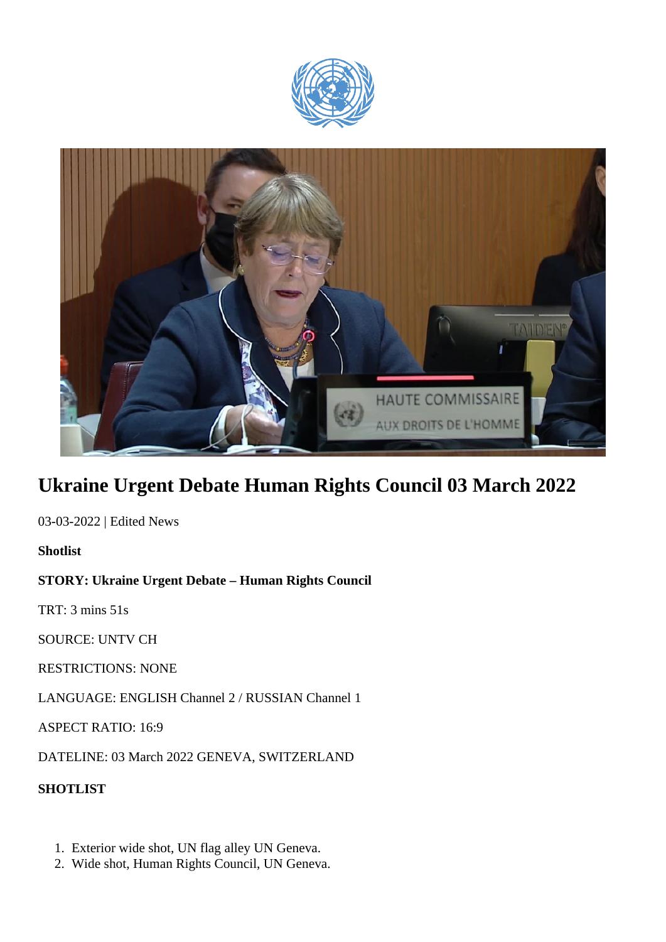



## **Ukraine Urgent Debate Human Rights Council 03 March 2022**

03-03-2022 | Edited News

**Shotlist**

## **STORY: Ukraine Urgent Debate – Human Rights Council**

TRT: 3 mins 51s

SOURCE: UNTV CH

RESTRICTIONS: NONE

LANGUAGE: ENGLISH Channel 2 / RUSSIAN Channel 1

ASPECT RATIO: 16:9

DATELINE: 03 March 2022 GENEVA, SWITZERLAND

**SHOTLIST**

- 1. Exterior wide shot, UN flag alley UN Geneva.
- 2. Wide shot, Human Rights Council, UN Geneva.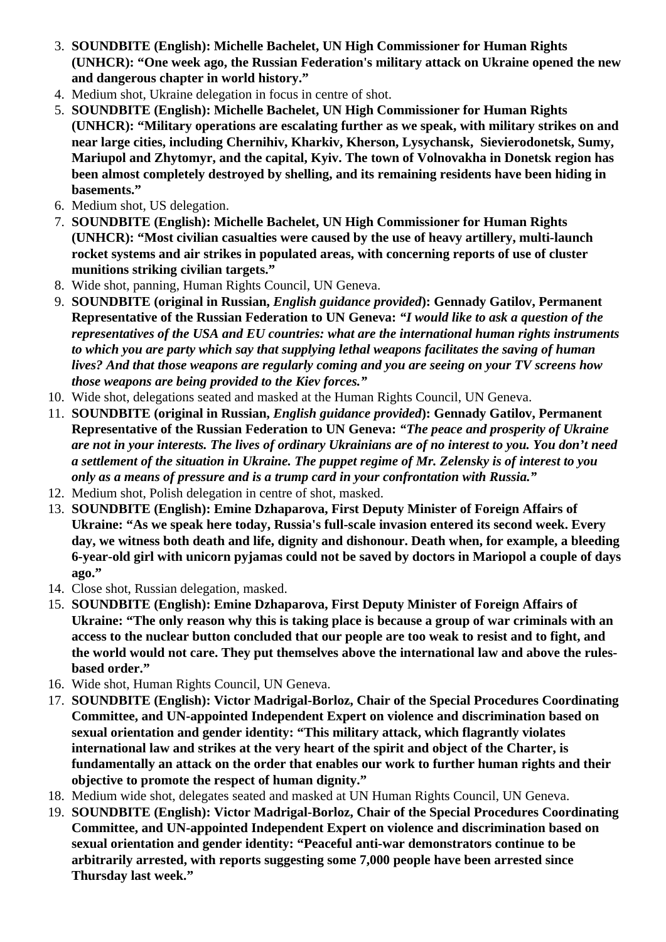- 3. **SOUNDBITE (English): Michelle Bachelet, UN High Commissioner for Human Rights (UNHCR): "One week ago, the Russian Federation's military attack on Ukraine opened the new and dangerous chapter in world history."**
- 4. Medium shot, Ukraine delegation in focus in centre of shot.
- 5. **SOUNDBITE (English): Michelle Bachelet, UN High Commissioner for Human Rights (UNHCR): "Military operations are escalating further as we speak, with military strikes on and near large cities, including Chernihiv, Kharkiv, Kherson, Lysychansk, Sievierodonetsk, Sumy, Mariupol and Zhytomyr, and the capital, Kyiv. The town of Volnovakha in Donetsk region has been almost completely destroyed by shelling, and its remaining residents have been hiding in basements."**
- 6. Medium shot, US delegation.
- 7. **SOUNDBITE (English): Michelle Bachelet, UN High Commissioner for Human Rights (UNHCR): "Most civilian casualties were caused by the use of heavy artillery, multi-launch rocket systems and air strikes in populated areas, with concerning reports of use of cluster munitions striking civilian targets."**
- 8. Wide shot, panning, Human Rights Council, UN Geneva.
- 9. **SOUNDBITE (original in Russian,** *English guidance provided***): Gennady Gatilov, Permanent Representative of the Russian Federation to UN Geneva:** *"I would like to ask a question of the representatives of the USA and EU countries: what are the international human rights instruments to which you are party which say that supplying lethal weapons facilitates the saving of human lives? And that those weapons are regularly coming and you are seeing on your TV screens how those weapons are being provided to the Kiev forces."*
- 10. Wide shot, delegations seated and masked at the Human Rights Council, UN Geneva.
- 11. **SOUNDBITE (original in Russian,** *English guidance provided***): Gennady Gatilov, Permanent Representative of the Russian Federation to UN Geneva:** *"The peace and prosperity of Ukraine are not in your interests. The lives of ordinary Ukrainians are of no interest to you. You don't need a settlement of the situation in Ukraine. The puppet regime of Mr. Zelensky is of interest to you only as a means of pressure and is a trump card in your confrontation with Russia."*
- 12. Medium shot, Polish delegation in centre of shot, masked.
- 13. **SOUNDBITE (English): Emine Dzhaparova, First Deputy Minister of Foreign Affairs of Ukraine: "As we speak here today, Russia's full-scale invasion entered its second week. Every day, we witness both death and life, dignity and dishonour. Death when, for example, a bleeding 6-year-old girl with unicorn pyjamas could not be saved by doctors in Mariopol a couple of days ago."**
- 14. Close shot, Russian delegation, masked.
- 15. **SOUNDBITE (English): Emine Dzhaparova, First Deputy Minister of Foreign Affairs of Ukraine: "The only reason why this is taking place is because a group of war criminals with an access to the nuclear button concluded that our people are too weak to resist and to fight, and the world would not care. They put themselves above the international law and above the rulesbased order."**
- 16. Wide shot, Human Rights Council, UN Geneva.
- 17. **SOUNDBITE (English): Victor Madrigal-Borloz, Chair of the Special Procedures Coordinating Committee, and UN-appointed Independent Expert on violence and discrimination based on sexual orientation and gender identity: "This military attack, which flagrantly violates international law and strikes at the very heart of the spirit and object of the Charter, is fundamentally an attack on the order that enables our work to further human rights and their objective to promote the respect of human dignity."**
- 18. Medium wide shot, delegates seated and masked at UN Human Rights Council, UN Geneva.
- 19. **SOUNDBITE (English): Victor Madrigal-Borloz, Chair of the Special Procedures Coordinating Committee, and UN-appointed Independent Expert on violence and discrimination based on sexual orientation and gender identity: "Peaceful anti-war demonstrators continue to be arbitrarily arrested, with reports suggesting some 7,000 people have been arrested since Thursday last week."**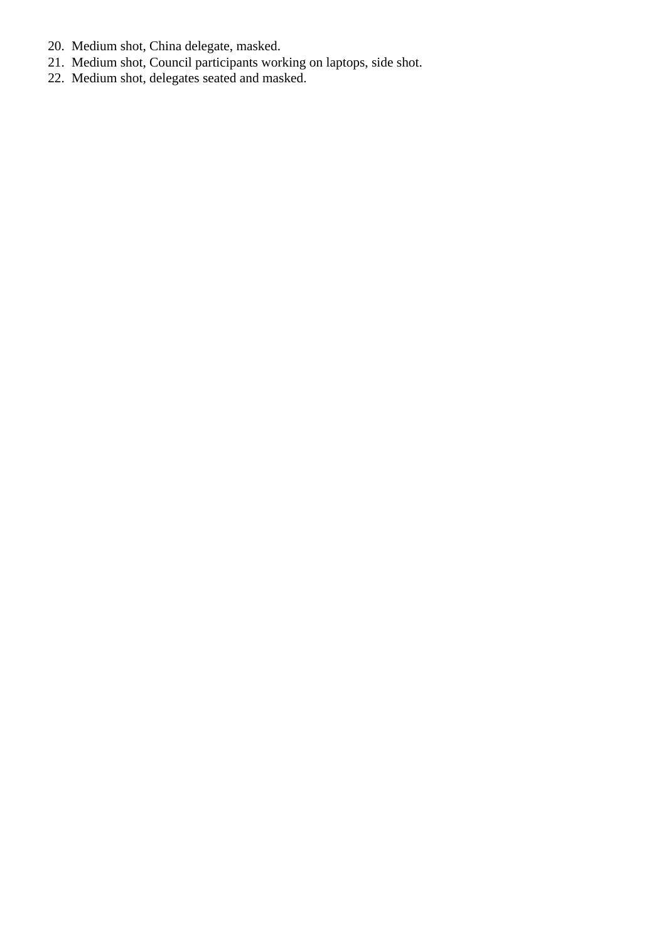- 20. Medium shot, China delegate, masked.
- 21. Medium shot, Council participants working on laptops, side shot.
- 22. Medium shot, delegates seated and masked.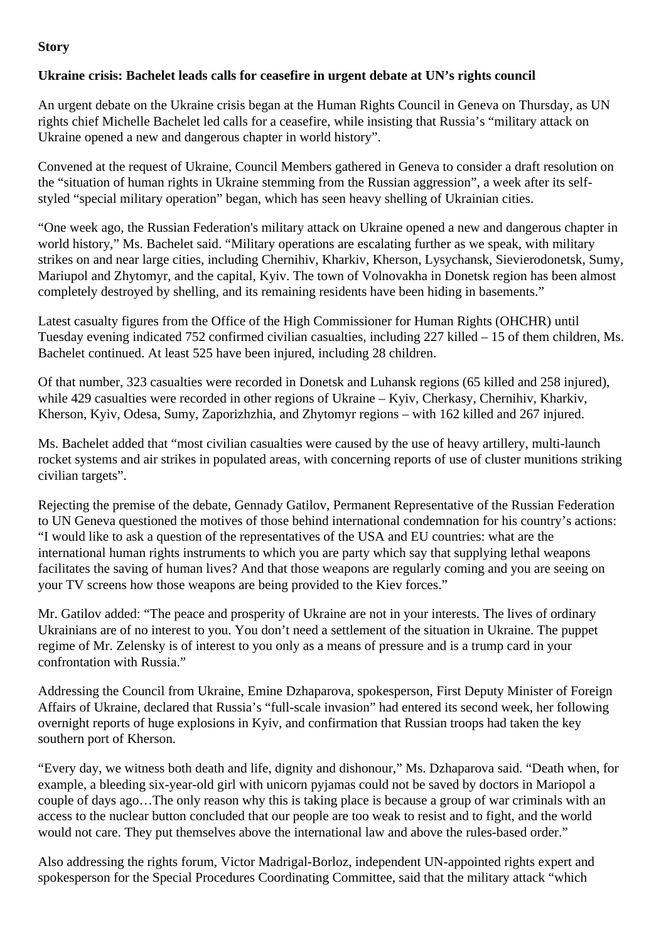## **Story**

## **Ukraine crisis: Bachelet leads calls for ceasefire in urgent debate at UN's rights council**

An urgent debate on the Ukraine crisis began at the Human Rights Council in Geneva on Thursday, as UN rights chief Michelle Bachelet led calls for a ceasefire, while insisting that Russia's "military attack on Ukraine opened a new and dangerous chapter in world history".

Convened at the request of Ukraine, Council Members gathered in Geneva to consider a draft resolution on the "situation of human rights in Ukraine stemming from the Russian aggression", a week after its selfstyled "special military operation" began, which has seen heavy shelling of Ukrainian cities.

"One week ago, the Russian Federation's military attack on Ukraine opened a new and dangerous chapter in world history," Ms. Bachelet said. "Military operations are escalating further as we speak, with military strikes on and near large cities, including Chernihiv, Kharkiv, Kherson, Lysychansk, Sievierodonetsk, Sumy, Mariupol and Zhytomyr, and the capital, Kyiv. The town of Volnovakha in Donetsk region has been almost completely destroyed by shelling, and its remaining residents have been hiding in basements."

Latest casualty figures from the Office of the High Commissioner for Human Rights (OHCHR) until Tuesday evening indicated 752 confirmed civilian casualties, including 227 killed – 15 of them children, Ms. Bachelet continued. At least 525 have been injured, including 28 children.

Of that number, 323 casualties were recorded in Donetsk and Luhansk regions (65 killed and 258 injured), while 429 casualties were recorded in other regions of Ukraine – Kyiv, Cherkasy, Chernihiv, Kharkiv, Kherson, Kyiv, Odesa, Sumy, Zaporizhzhia, and Zhytomyr regions – with 162 killed and 267 injured.

Ms. Bachelet added that "most civilian casualties were caused by the use of heavy artillery, multi-launch rocket systems and air strikes in populated areas, with concerning reports of use of cluster munitions striking civilian targets".

Rejecting the premise of the debate, Gennady Gatilov, Permanent Representative of the Russian Federation to UN Geneva questioned the motives of those behind international condemnation for his country's actions: "I would like to ask a question of the representatives of the USA and EU countries: what are the international human rights instruments to which you are party which say that supplying lethal weapons facilitates the saving of human lives? And that those weapons are regularly coming and you are seeing on your TV screens how those weapons are being provided to the Kiev forces."

Mr. Gatilov added: "The peace and prosperity of Ukraine are not in your interests. The lives of ordinary Ukrainians are of no interest to you. You don't need a settlement of the situation in Ukraine. The puppet regime of Mr. Zelensky is of interest to you only as a means of pressure and is a trump card in your confrontation with Russia."

Addressing the Council from Ukraine, Emine Dzhaparova, spokesperson, First Deputy Minister of Foreign Affairs of Ukraine, declared that Russia's "full-scale invasion" had entered its second week, her following overnight reports of huge explosions in Kyiv, and confirmation that Russian troops had taken the key southern port of Kherson.

"Every day, we witness both death and life, dignity and dishonour," Ms. Dzhaparova said. "Death when, for example, a bleeding six-year-old girl with unicorn pyjamas could not be saved by doctors in Mariopol a couple of days ago…The only reason why this is taking place is because a group of war criminals with an access to the nuclear button concluded that our people are too weak to resist and to fight, and the world would not care. They put themselves above the international law and above the rules-based order."

Also addressing the rights forum, Victor Madrigal-Borloz, independent UN-appointed rights expert and spokesperson for the Special Procedures Coordinating Committee, said that the military attack "which